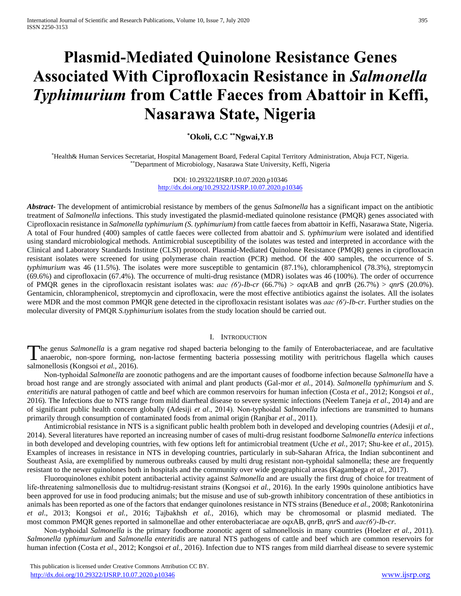# **Plasmid-Mediated Quinolone Resistance Genes Associated With Ciprofloxacin Resistance in** *Salmonella Typhimurium* **from Cattle Faeces from Abattoir in Keffi, Nasarawa State, Nigeria**

**\*Okoli, C.C \*\*Ngwai,Y.B**

\*Health& Human Services Secretariat, Hospital Management Board, Federal Capital Territory Administration, Abuja FCT, Nigeria. \*\*Department of Microbiology, Nasarawa State University, Keffi, Nigeria

> DOI: 10.29322/IJSRP.10.07.2020.p10346 <http://dx.doi.org/10.29322/IJSRP.10.07.2020.p10346>

*Abstract***-** The development of antimicrobial resistance by members of the genus *Salmonella* has a significant impact on the antibiotic treatment of *Salmonella* infections. This study investigated the plasmid-mediated quinolone resistance (PMQR) genes associated with Ciprofloxacin resistance in *Salmonella typhimurium (S. typhimurium)* from cattle faeces from abattoir in Keffi, Nasarawa State, Nigeria. A total of Four hundred (400) samples of cattle faeces were collected from abattoir and *S. typhimurium* were isolated and identified using standard microbiological methods. Antimicrobial susceptibility of the isolates was tested and interpreted in accordance with the Clinical and Laboratory Standards Institute (CLSI) protocol. Plasmid-Mediated Quinolone Resistance (PMQR) genes in ciprofloxacin resistant isolates were screened for using polymerase chain reaction (PCR) method. Of the 400 samples, the occurrence of S. *typhimurium* was 46 (11.5%). The isolates were more susceptible to gentamicin (87.1%), chloramphenicol (78.3%), streptomycin (69.6%) and ciprofloxacin (67.4%). The occurrence of multi-drug resistance (MDR) isolates was 46 (100%). The order of occurrence of PMQR genes in the ciprofloxacin resistant isolates was: *aac (6′)-Ib-cr* (66.7%) > *oqx*AB and *qnr*B (26.7%) > *qnr*S (20.0%). Gentamicin, chloramphenicol, streptomycin and ciprofloxacin, were the most effective antibiotics against the isolates. All the isolates were MDR and the most common PMQR gene detected in the ciprofloxacin resistant isolates was *aac (6′)-Ib-cr*. Further studies on the molecular diversity of PMQR *S.typhimurium* isolates from the study location should be carried out.

#### I. INTRODUCTION

he genus *Salmonella* is a gram negative rod shaped bacteria belonging to the family of Enterobacteriaceae, and are facultative The genus Salmonella is a gram negative rod shaped bacteria belonging to the family of Enterobacteriaceae, and are facultative anaerobic, non-spore forming, non-lactose fermenting bacteria possessing motility with peritric salmonellosis (Kongsoi *et al.,* 2016).

 Non‐typhoidal *Salmonella* are zoonotic pathogens and are the important causes of foodborne infection because *Salmonella* have a broad host range and are strongly associated with animal and plant products (Gal-mor *et al.,* 2014). *Salmonella typhimurium* and *S*. *enteritidis* are natural pathogen of cattle and beef which are common reservoirs for human infection (Costa *et al*., 2012; Kongsoi *et al.,* 2016). The Infections due to NTS range from mild diarrheal disease to severe systemic infections (Neelem Taneja *et al*., 2014) and are of significant public health concern globally (Adesiji *et al*., 2014). Non‐typhoidal *Salmonella* infections are transmitted to humans primarily through consumption of contaminated foods from animal origin (Ranjbar *et al*., 2011).

 Antimicrobial resistance in NTS is a significant public health problem both in developed and developing countries (Adesiji *et al.*, 2014). Several literatures have reported an increasing number of cases of multi-drug resistant foodborne *Salmonella enterica* infections in both developed and developing countries, with few options left for antimicrobial treatment (Uche *et al.,* 2017; Shu-kee *et al.,* 2015). Examples of increases in resistance in NTS in developing countries, particularly in sub-Saharan Africa, the Indian subcontinent and Southeast Asia, are exemplified by numerous outbreaks caused by multi drug resistant non-typhoidal salmonella; these are frequently resistant to the newer quinolones both in hospitals and the community over wide geographical areas (Kagambega *et al.,* 2017).

 Fluoroquinolones exhibit potent antibacterial activity against *Salmonella* and are usually the first drug of choice for treatment of life‐threatening salmonellosis due to multidrug‐resistant strains (Kongsoi *et al.,* 2016). In the early 1990s quinolone antibiotics have been approved for use in food producing animals; but the misuse and use of sub-growth inhibitory concentration of these antibiotics in animals has been reported as one of the factors that endanger quinolones resistance in NTS strains (Beneduce *et al.*, 2008; Rankotonirina *et al*., 2013; Kongsoi *et al.*, 2016; Tajbakhsh *et al.,* 2016), which may be chromosomal or plasmid mediated. The most common PMQR genes reported in salmonellae and other enterobacteriacae are *oqx*AB, *qnr*B, *qnr*S and *aac(6′)-Ib-cr*.

 Non‐typhoidal *Salmonella* is the primary foodborne zoonotic agent of salmonellosis in many countries (Hoelzer *et al.,* 2011). *Salmonella typhimurium* and *Salmonella enteritidis* are natural NTS pathogens of cattle and beef which are common reservoirs for human infection (Costa *et al*., 2012; Kongsoi *et al.,* 2016). Infection due to NTS ranges from mild diarrheal disease to severe systemic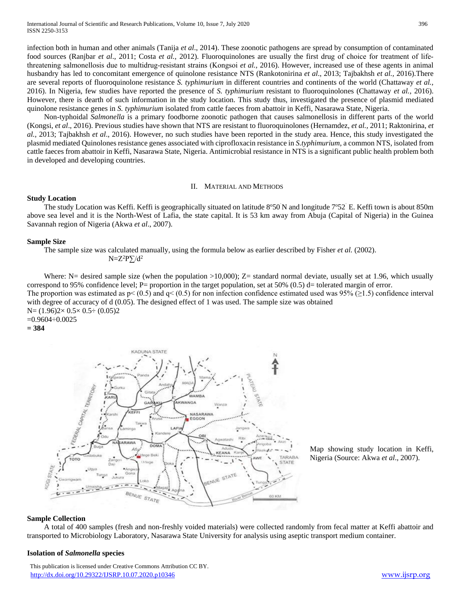infection both in human and other animals (Tanija *et al*., 2014). These zoonotic pathogens are spread by consumption of contaminated food sources (Ranjbar *et al.*, 2011; Costa *et al.*, 2012). Fluoroquinolones are usually the first drug of choice for treatment of lifethreatening salmonellosis due to multidrug‐resistant strains (Kongsoi *et al.,* 2016). However, increased use of these agents in animal husbandry has led to concomitant emergence of quinolone resistance NTS (Rankotonirina *et al*., 2013; Tajbakhsh *et al.,* 2016).There are several reports of fluoroquinolone resistance *S. typhimurium* in different countries and continents of the world (Chattaway *et al.,*  2016). In Nigeria, few studies have reported the presence of *S. typhimurium* resistant to fluoroquinolones (Chattaway *et al.,* 2016). However, there is dearth of such information in the study location. This study thus, investigated the presence of plasmid mediated quinolone resistance genes in *S. typhimurium* isolated from cattle faeces from abattoir in Keffi, Nasarawa State, Nigeria.

 Non-typhoidal *Salmonella* is a primary foodborne zoonotic pathogen that causes salmonellosis in different parts of the world (Kongsi, *et al*., 2016). Previous studies have shown that NTS are resistant to fluoroquinolones (Hernamdez, *et al.,* 2011; Raktonirina, *et al.,* 2013; Tajbakhsh *et al*., 2016). However, no such studies have been reported in the study area. Hence, this study investigated the plasmid mediated Quinolones resistance genes associated with ciprofloxacin resistance in *S.typhimurium*, a common NTS, isolated from cattle faeces from abattoir in Keffi, Nasarawa State, Nigeria. Antimicrobial resistance in NTS is a significant public health problem both in developed and developing countries.

## II. MATERIAL AND METHODS

# **Study Location**

The study Location was Keffi. Keffi is geographically situated on latitude  $8^{\circ}50$  N and longitude  $7^{\circ}52$  E. Keffi town is about 850m above sea level and it is the North-West of Lafia, the state capital. It is 53 km away from Abuja (Capital of Nigeria) in the Guinea Savannah region of Nigeria (Akwa *et al*., 2007).

# **Sample Size**

The sample size was calculated manually, using the formula below as earlier described by Fisher *et al.* (2002).

 $N=Z^2P\sum d^2$ 

Where:  $N=$  desired sample size (when the population >10,000);  $Z=$  standard normal deviate, usually set at 1.96, which usually correspond to 95% confidence level; P= proportion in the target population, set at 50% (0.5) d= tolerated margin of error. The proportion was estimated as  $p < (0.5)$  and  $q < (0.5)$  for non infection confidence estimated used was 95% ( $\geq 1.5$ ) confidence interval with degree of accuracy of d (0.05). The designed effect of 1 was used. The sample size was obtained N= (1.96)2× 0.5× 0.5÷ (0.05)2 =0.9604÷0.0025

**= 384**



Map showing study location in Keffi, Nigeria (Source: Akwa *et al*., 2007).

### **Sample Collection**

 A total of 400 samples (fresh and non-freshly voided materials) were collected randomly from fecal matter at Keffi abattoir and transported to Microbiology Laboratory, Nasarawa State University for analysis using aseptic transport medium container.

#### **Isolation of** *Salmonella* **species**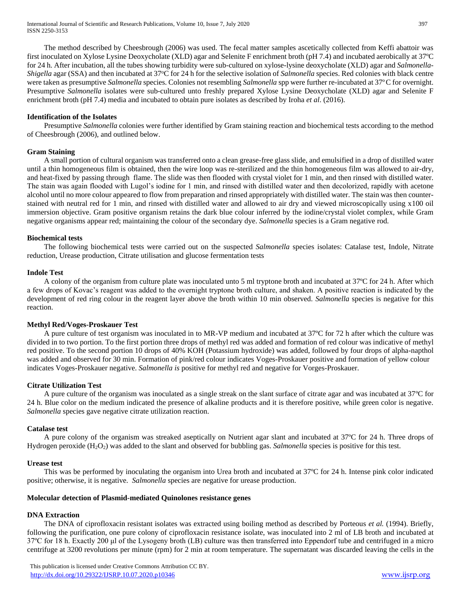The method described by Cheesbrough (2006) was used. The fecal matter samples ascetically collected from Keffi abattoir was first inoculated on Xylose Lysine Deoxycholate (XLD) agar and Selenite F enrichment broth (pH 7.4) and incubated aerobically at 37ºC for 24 h. After incubation, all the tubes showing turbidity were sub-cultured on xylose-lysine deoxycholate (XLD) agar and *Salmonella-Shigella* agar (SSA) and then incubated at 37°C for 24 h for the selective isolation of *Salmonella* species. Red colonies with black centre were taken as presumptive *Salmonella* species. Colonies not resembling *Salmonella* spp were further re-incubated at 37ºC for overnight. Presumptive *Salmonella* isolates were sub-cultured unto freshly prepared Xylose Lysine Deoxycholate (XLD) agar and Selenite F enrichment broth (pH 7.4) media and incubated to obtain pure isolates as described by Iroha *et al*. (2016).

# **Identification of the Isolates**

 Presumptive *Salmonella* colonies were further identified by Gram staining reaction and biochemical tests according to the method of Cheesbrough (2006), and outlined below.

# **Gram Staining**

 A small portion of cultural organism was transferred onto a clean grease-free glass slide, and emulsified in a drop of distilled water until a thin homogeneous film is obtained, then the wire loop was re-sterilized and the thin homogeneous film was allowed to air-dry, and heat-fixed by passing through flame. The slide was then flooded with crystal violet for 1 min, and then rinsed with distilled water. The stain was again flooded with Lugol's iodine for 1 min, and rinsed with distilled water and then decolorized, rapidly with acetone alcohol until no more colour appeared to flow from preparation and rinsed appropriately with distilled water. The stain was then counterstained with neutral red for 1 min, and rinsed with distilled water and allowed to air dry and viewed microscopically using x100 oil immersion objective. Gram positive organism retains the dark blue colour inferred by the iodine/crystal violet complex, while Gram negative organisms appear red; maintaining the colour of the secondary dye. *Salmonella* species is a Gram negative rod.

# **Biochemical tests**

 The following biochemical tests were carried out on the suspected *Salmonella* species isolates: Catalase test, Indole, Nitrate reduction, Urease production, Citrate utilisation and glucose fermentation tests

# **Indole Test**

 A colony of the organism from culture plate was inoculated unto 5 ml tryptone broth and incubated at 37ºC for 24 h. After which a few drops of Kovac's reagent was added to the overnight tryptone broth culture, and shaken. A positive reaction is indicated by the development of red ring colour in the reagent layer above the broth within 10 min observed. *Salmonella* species is negative for this reaction.

# **Methyl Red/Voges-Proskauer Test**

 A pure culture of test organism was inoculated in to MR-VP medium and incubated at 37ºC for 72 h after which the culture was divided in to two portion. To the first portion three drops of methyl red was added and formation of red colour was indicative of methyl red positive. To the second portion 10 drops of 40% KOH (Potassium hydroxide) was added, followed by four drops of alpha-napthol was added and observed for 30 min. Formation of pink/red colour indicates Voges-Proskauer positive and formation of yellow colour indicates Voges-Proskauer negative. *Salmonella is* positive for methyl red and negative for Vorges-Proskauer.

# **Citrate Utilization Test**

 A pure culture of the organism was inoculated as a single streak on the slant surface of citrate agar and was incubated at 37ºC for 24 h. Blue color on the medium indicated the presence of alkaline products and it is therefore positive, while green color is negative. *Salmonella* species gave negative citrate utilization reaction.

# **Catalase test**

 A pure colony of the organism was streaked aseptically on Nutrient agar slant and incubated at 37ºC for 24 h. Three drops of Hydrogen peroxide (H2O2) was added to the slant and observed for bubbling gas. *Salmonella* species is positive for this test.

# **Urease test**

 This was be performed by inoculating the organism into Urea broth and incubated at 37ºC for 24 h. Intense pink color indicated positive; otherwise, it is negative. *Salmonella* species are negative for urease production.

# **Molecular detection of Plasmid-mediated Quinolones resistance genes**

# **DNA Extraction**

 The DNA of ciprofloxacin resistant isolates was extracted using boiling method as described by Porteous *et al.* (1994). Briefly, following the purification, one pure colony of ciprofloxacin resistance isolate, was inoculated into 2 ml of LB broth and incubated at 37ºC for 18 h. Exactly 200 μl of the Lysogeny broth (LB) culture was then transferred into Eppendorf tube and centrifuged in a micro centrifuge at 3200 revolutions per minute (rpm) for 2 min at room temperature. The supernatant was discarded leaving the cells in the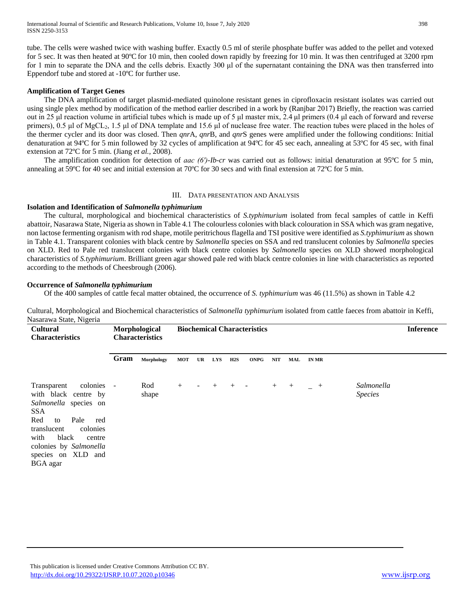tube. The cells were washed twice with washing buffer. Exactly 0.5 ml of sterile phosphate buffer was added to the pellet and votexed for 5 sec. It was then heated at 90ºC for 10 min, then cooled down rapidly by freezing for 10 min. It was then centrifuged at 3200 rpm for 1 min to separate the DNA and the cells debris. Exactly 300 μl of the supernatant containing the DNA was then transferred into Eppendorf tube and stored at -10ºC for further use.

# **Amplification of Target Genes**

 The DNA amplification of target plasmid-mediated quinolone resistant genes in ciprofloxacin resistant isolates was carried out using single plex method by modification of the method earlier described in a work by (Ranjbar 2017) Briefly, the reaction was carried out in 25 μl reaction volume in artificial tubes which is made up of 5 μl master mix, 2.4 μl primers (0.4 μl each of forward and reverse primers), 0.5 μl of MgCL2, 1.5 μl of DNA template and 15.6 μl of nuclease free water. The reaction tubes were placed in the holes of the thermer cycler and its door was closed. Then *qnr*A, *qnr*B, and *qnr*S genes were amplified under the following conditions: Initial denaturation at 94ºC for 5 min followed by 32 cycles of amplification at 94ºC for 45 sec each, annealing at 53ºC for 45 sec, with final extension at 72ºC for 5 min. (Jiang *et al.,* 2008).

 The amplification condition for detection of *aac (6′)-Ib-cr* was carried out as follows: initial denaturation at 95ºC for 5 min, annealing at 59ºC for 40 sec and initial extension at 70ºC for 30 secs and with final extension at 72ºC for 5 min.

# III. DATA PRESENTATION AND ANALYSIS

# **Isolation and Identification of** *Salmonella typhimurium*

 The cultural, morphological and biochemical characteristics of *S.typhimurium* isolated from fecal samples of cattle in Keffi abattoir, Nasarawa State, Nigeria as shown in Table 4.1 The colourless colonies with black colouration in SSA which was gram negative, non lactose fermenting organism with rod shape, motile peritrichous flagella and TSI positive were identified as *S.typhimurium* as shown in Table 4.1. Transparent colonies with black centre by *Salmonella* species on SSA and red translucent colonies by *Salmonella* species on XLD. Red to Pale red translucent colonies with black centre colonies by *Salmonella* species on XLD showed morphological characteristics of *S.typhimurium*. Brilliant green agar showed pale red with black centre colonies in line with characteristics as reported according to the methods of Cheesbrough (2006).

# **Occurrence of** *Salmonella typhimurium*

Of the 400 samples of cattle fecal matter obtained, the occurrence of *S. typhimurium* was 46 (11.5%) as shown in Table 4.2

Cultural, Morphological and Biochemical characteristics of *Salmonella typhimurium* isolated from cattle faeces from abattoir in Keffi, Nasarawa State, Nigeria

| <b>Cultural</b><br><b>Characteristics</b>                                                                                                                                                                                                     | Morphological<br><b>Characteristics</b> |              | <b>Biochemical Characteristics</b> |                          |     |              |                          |        |     | <b>Inference</b> |                              |  |
|-----------------------------------------------------------------------------------------------------------------------------------------------------------------------------------------------------------------------------------------------|-----------------------------------------|--------------|------------------------------------|--------------------------|-----|--------------|--------------------------|--------|-----|------------------|------------------------------|--|
|                                                                                                                                                                                                                                               | Gram                                    | Morphology   | <b>MOT</b>                         | UR                       | LYS | $_{\rm H2S}$ | <b>ONPG</b>              | NIT    | MAL | <b>IN MR</b>     |                              |  |
| colonies -<br>Transparent<br>with black centre by<br>Salmonella species on<br><b>SSA</b><br>Red<br>Pale<br>to<br>red<br>translucent<br>colonies<br>black<br>with<br>centre<br>colonies by Salmonella<br>species on XLD and<br><b>BGA</b> agar |                                         | Rod<br>shape | $+$                                | $\overline{\phantom{a}}$ | $+$ | $^{+}$       | $\overline{\phantom{a}}$ | $^{+}$ | $+$ | $-$ +            | Salmonella<br><b>Species</b> |  |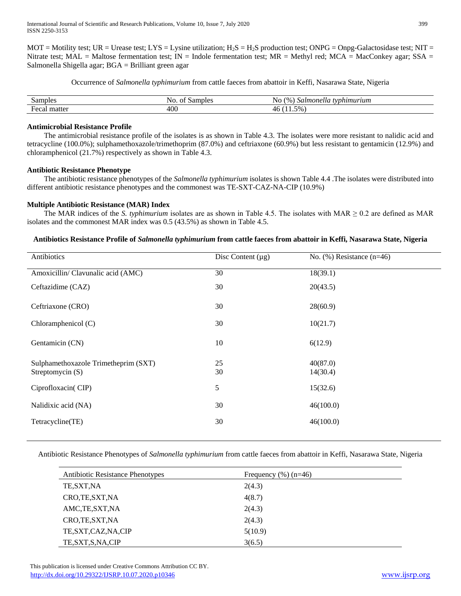International Journal of Scientific and Research Publications, Volume 10, Issue 7, July 2020 399 ISSN 2250-3153

 $MOT = M$ otility test; UR = Urease test; LYS = Lysine utilization; H<sub>2</sub>S = H<sub>2</sub>S production test; ONPG = Onpg-Galactosidase test; NIT = Nitrate test; MAL = Maltose fermentation test;  $IN =$  Indole fermentation test;  $MR =$  Methyl red;  $MCA =$  MacConkey agar; SSA = Salmonella Shigella agar; BGA = Brilliant green agar

Occurrence of *Salmonella typhimurium* from cattle faeces from abattoir in Keffi, Nasarawa State, Nigeria

| Samples                  | Samples<br>N <sub>O</sub><br>ОT | $\frac{1}{2}$<br>Salmonel'<br>typhimurium<br>ING.<br>ાા |
|--------------------------|---------------------------------|---------------------------------------------------------|
| ∽<br>matter<br>ндса<br>а | 400                             | 5%<br>-4<br>.                                           |

# **Antimicrobial Resistance Profile**

 The antimicrobial resistance profile of the isolates is as shown in Table 4.3. The isolates were more resistant to nalidic acid and tetracycline (100.0%); sulphamethoxazole/trimethoprim (87.0%) and ceftriaxone (60.9%) but less resistant to gentamicin (12.9%) and chloramphenicol (21.7%) respectively as shown in Table 4.3.

# **Antibiotic Resistance Phenotype**

 The antibiotic resistance phenotypes of the *Salmonella typhimurium* isolates is shown Table 4.4 .The isolates were distributed into different antibiotic resistance phenotypes and the commonest was TE-SXT-CAZ-NA-CIP (10.9%)

# **Multiple Antibiotic Resistance (MAR) Index**

The MAR indices of the *S. typhimurium* isolates are as shown in Table 4.5. The isolates with MAR  $\geq 0.2$  are defined as MAR isolates and the commonest MAR index was 0.5 (43.5%) as shown in Table 4.5.

# **Antibiotics Resistance Profile of** *Salmonella typhimurium* **from cattle faeces from abattoir in Keffi, Nasarawa State, Nigeria**

| Antibiotics                          | Disc Content $(\mu g)$ | No. $(\% )$ Resistance $(n=46)$ |
|--------------------------------------|------------------------|---------------------------------|
| Amoxicillin/ Clavunalic acid (AMC)   | 30                     | 18(39.1)                        |
| Ceftazidime (CAZ)                    | 30                     | 20(43.5)                        |
| Ceftriaxone (CRO)                    | 30                     | 28(60.9)                        |
| Chloramphenicol (C)                  | 30                     | 10(21.7)                        |
| Gentamicin (CN)                      | 10                     | 6(12.9)                         |
| Sulphamethoxazole Trimetheprim (SXT) | 25                     | 40(87.0)                        |
| Streptomycin (S)                     | 30                     | 14(30.4)                        |
| Ciprofloxacin(CIP)                   | 5                      | 15(32.6)                        |
| Nalidixic acid (NA)                  | 30                     | 46(100.0)                       |
| Tetracycline(TE)                     | 30                     | 46(100.0)                       |

Antibiotic Resistance Phenotypes of *Salmonella typhimurium* from cattle faeces from abattoir in Keffi, Nasarawa State, Nigeria

| <b>Antibiotic Resistance Phenotypes</b> | Frequency $(\%)(n=46)$ |
|-----------------------------------------|------------------------|
| TE, SXT, NA                             | 2(4.3)                 |
| CRO, TE, SXT, NA                        | 4(8.7)                 |
| AMC, TE, SXT, NA                        | 2(4.3)                 |
| CRO, TE, SXT, NA                        | 2(4.3)                 |
| TE, SXT, CAZ, NA, CIP                   | 5(10.9)                |
| TE, SXT, S, NA, CIP                     | 3(6.5)                 |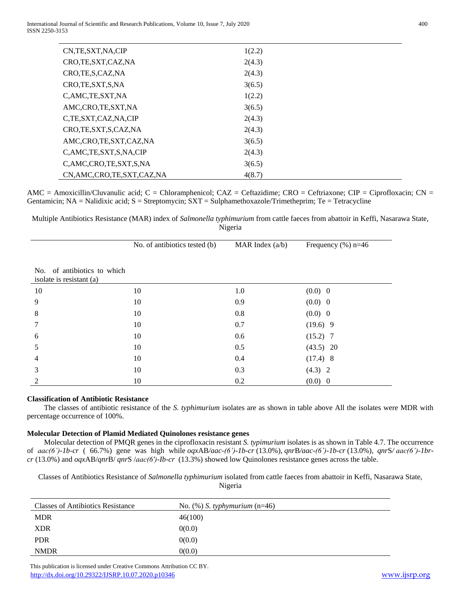| CN, TE, SXT, NA, CIP           | 1(2.2) |
|--------------------------------|--------|
| CRO, TE, SXT, CAZ, NA          | 2(4.3) |
| CRO, TE, S, CAZ, NA            | 2(4.3) |
| CRO, TE, SXT, S, NA            | 3(6.5) |
| C,AMC,TE,SXT,NA                | 1(2.2) |
| AMC,CRO,TE,SXT,NA              | 3(6.5) |
| C,TE,SXT,CAZ,NA,CIP            | 2(4.3) |
| CRO, TE, SXT, S, CAZ, NA       | 2(4.3) |
| AMC,CRO,TE,SXT,CAZ,NA          | 3(6.5) |
| C, AMC, TE, SXT, S, NA, CIP    | 2(4.3) |
| C,AMC,CRO,TE,SXT,S,NA          | 3(6.5) |
| CN, AMC, CRO, TE, SXT, CAZ, NA | 4(8.7) |

AMC = Amoxicillin/Cluvanulic acid; C = Chloramphenicol; CAZ = Ceftazidime; CRO = Ceftriaxone; CIP = Ciprofloxacin; CN = Gentamicin; NA = Nalidixic acid; S = Streptomycin; SXT = Sulphamethoxazole/Trimetheprim; Te = Tetracycline

Multiple Antibiotics Resistance (MAR) index of *Salmonella typhimurium* from cattle faeces from abattoir in Keffi, Nasarawa State, Nigeria

|                                                         | No. of antibiotics tested (b) | MAR Index $(a/b)$ | Frequency $(\% )$ n=46 |
|---------------------------------------------------------|-------------------------------|-------------------|------------------------|
| No. of antibiotics to which<br>isolate is resistant (a) |                               |                   |                        |
| 10                                                      | 10                            | 1.0               | (0.0) 0                |
| 9                                                       | 10                            | 0.9               | (0.0) 0                |
| 8                                                       | 10                            | 0.8               | (0.0) 0                |
| 7                                                       | 10                            | 0.7               | $(19.6)$ 9             |
| 6                                                       | 10                            | 0.6               | $(15.2)$ 7             |
| 5                                                       | 10                            | 0.5               | $(43.5)$ 20            |
| 4                                                       | 10                            | 0.4               | $(17.4)$ 8             |
| 3                                                       | 10                            | 0.3               | $(4.3)$ 2              |
| $\mathfrak{D}$                                          | 10                            | 0.2               | (0.0) 0                |

# **Classification of Antibiotic Resistance**

 The classes of antibiotic resistance of the *S. typhimurium* isolates are as shown in table above All the isolates were MDR with percentage occurrence of 100%.

# **Molecular Detection of Plamid Mediated Quinolones resistance genes**

 Molecular detection of PMQR genes in the ciprofloxacin resistant *S. typimurium* isolates is as shown in Table 4.7. The occurrence of *aac(6')-1b-cr* ( 66.7%) gene was high while *oqx*AB*/aac-(6')-1b-cr* (13.0%), *qnr*B*/aac-(6')-1b-cr* (13.0%)*, qnr*S*/ aac(6')-1brcr* (13.0%) and *oqx*AB/*qnr*B/ *qnr*S /*aac(6′)-Ib-cr* (13.3%) showed low Quinolones resistance genes across the table.

Classes of Antibiotics Resistance of *Salmonella typhimurium* isolated from cattle faeces from abattoir in Keffi, Nasarawa State, Nigeria

| <b>Classes of Antibiotics Resistance</b> | No. $(\%)$ S. typhymurium $(n=46)$ |
|------------------------------------------|------------------------------------|
| <b>MDR</b>                               | 46(100)                            |
| <b>XDR</b>                               | 0(0.0)                             |
| <b>PDR</b>                               | 0(0.0)                             |
| <b>NMDR</b>                              | 0(0.0)                             |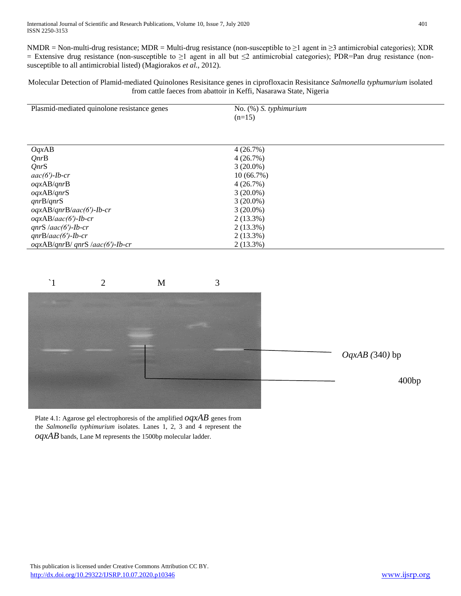NMDR = Non-multi-drug resistance; MDR = Multi-drug resistance (non-susceptible to  $\geq 1$  agent in  $\geq 3$  antimicrobial categories); XDR = Extensive drug resistance (non-susceptible to ≥1 agent in all but ≤2 antimicrobial categories); PDR=Pan drug resistance (nonsusceptible to all antimicrobial listed) (Magiorakos *et al.*, 2012).

Molecular Detection of Plamid-mediated Quinolones Resisitance genes in ciprofloxacin Resisitance *Salmonella typhumurium* isolated from cattle faeces from abattoir in Keffi, Nasarawa State, Nigeria

| Plasmid-mediated quinolone resistance genes | No. $(\%)$ S. typhimurium |
|---------------------------------------------|---------------------------|
|                                             | $(n=15)$                  |
|                                             |                           |
|                                             |                           |
| OqxAB                                       | $4(26.7\%)$               |
| QnrB                                        | 4(26.7%)                  |
| QnrS                                        | $3(20.0\%)$               |
| $aac(6')$ -Ib-cr                            | 10(66.7%)                 |
| oqxAB/qnrB                                  | 4(26.7%)                  |
| oqxAB/qnrS                                  | $3(20.0\%)$               |
| qnrB/qnrS                                   | $3(20.0\%)$               |
| $oqxAB/qnrB/aac(6')-Ib-cr$                  | $3(20.0\%)$               |
| $oqxAB/aac(6')-Ib-cr$                       | $2(13.3\%)$               |
| $qnrS/aac(6')-Ib-cr$                        | $2(13.3\%)$               |
| $qnrB/aac(6')-Ib-cr$                        | $2(13.3\%)$               |
| $oqxAB/qnrB/qnrS/aac(6')-Ib-cr$             | $2(13.3\%)$               |



Plate 4.1: Agarose gel electrophoresis of the amplified *oqxAB* genes from the *Salmonella typhimurium* isolates. Lanes 1, 2, 3 and 4 represent the *oqxAB* bands, Lane M represents the 1500bp molecular ladder.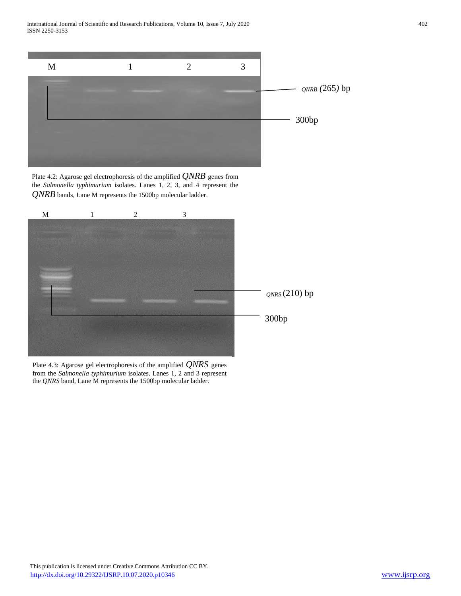International Journal of Scientific and Research Publications, Volume 10, Issue 7, July 2020 402 ISSN 2250-3153



Plate 4.2: Agarose gel electrophoresis of the amplified  $\mathcal{QNRB}$  genes from the *Salmonella typhimurium* isolates. Lanes 1, 2, 3, and 4 represent the *QNRB* bands, Lane M represents the 1500bp molecular ladder.



Plate 4.3: Agarose gel electrophoresis of the amplified *QNRS* genes from the *Salmonella typhimurium* isolates. Lanes 1, 2 and 3 represent the *QNRS* band, Lane M represents the 1500bp molecular ladder.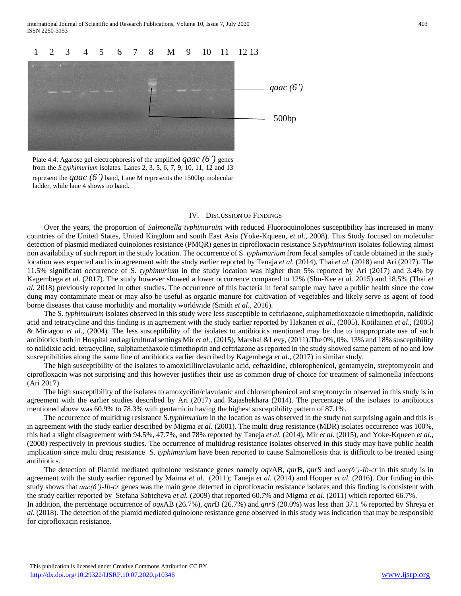International Journal of Scientific and Research Publications, Volume 10, Issue 7, July 2020 403 ISSN 2250-3153



Plate 4.4: Agarose gel electrophoresis of the amplified  $qaac$  (6<sup>'</sup>) genes from the *S.typhimurium* isolates. Lanes 2, 3, 5, 6, 7, 9, 10, 11, 12 and 13 represent the *qaac* (6') band, Lane M represents the 1500bp molecular ladder, while lane 4 shows no band.

#### IV. DISCUSSION OF FINDINGS

 Over the years, the proportion of *Salmonella typhimuruim* with reduced Fluoroquinolones susceptibility has increased in many countries of the United States, United Kingdom and south East Asia (Yoke-Kqueen, *et al*., 2008). This Study focused on molecular detection of plasmid mediated quinolones resistance (PMQR) genes in ciprofloxacin resistance *S.typhimurium* isolates following almost non availability of such report in the study location. The occurrence of S. *typhimurium* from fecal samples of cattle obtained in the study location was expected and is in agreement with the study earlier reported by Tenaja *et al.* (2014), Thai *et al.* (2018) and Ari (2017). The 11.5% significant occurrence of S. *typhimurium* in the study location was higher than 5% reported by Ari (2017) and 3.4% by Kagembega *et al.* (2017). The study however showed a lower occurrence compared to 12% (Shu-Kee *et al.* 2015) and 18.5% (Thai *et al.* 2018) previously reported in other studies. The occurrence of this bacteria in fecal sample may have a public health since the cow dung may contaminate meat or may also be useful as organic manure for cultivation of vegetables and likely serve as agent of food borne diseases that cause morbidity and mortality worldwide (Smith *et al*., 2016).

 The S. *typhimuirum* isolates observed in this study were less susceptible to ceftriazone, sulphamethoxazole trimethoprin, nalidixic acid and tetracycline and this finding is in agreement with the study earlier reported by Hakanen *et al.,* (2005), Kotilainen *et al*., (2005) & Miriagou *et al*., (2004). The less susceptibility of the isolates to antibiotics mentioned may be due to inappropriate use of such antibiotics both in Hospital and agricultural settings Mir *et al.,* (2015), Marshal &Levy, (2011).The 0%, 0%, 13% and 18% susceptibility to nalidixic acid, tetracycline, sulphamethaxole trimethoprin and ceftriazone as reported in the study showed same pattern of no and low susceptibilities along the same line of antibiotics earlier described by Kagembega *et al*., (2017) in similar study.

 The high susceptibility of the isolates to amoxicillin/clavulanic acid, ceftazidine, chlorophenicol, gentamycin, streptomycoin and ciprofloxacin was not surprising and this however justifies their use as common drug of choice for treatment of salmonella infections (Ari 2017).

 The high susceptibility of the isolates to amoxycilin/clavulanic and chloramphenicol and streptomycin observed in this study is in agreement with the earlier studies described by Ari (2017) and Rajashekhara (2014). The percentage of the isolates to antibiotics mentioned above was 60.9% to 78.3% with gentamicin having the highest susceptibility pattern of 87.1%.

 The occurrence of multidrug resistance S.*typhimurium* in the location as was observed in the study not surprising again and this is in agreement with the study earlier described by Migma *et al.* (2001). The multi drug resistance (MDR) isolates occurrence was 100%, this had a slight disagreement with 94.5%, 47.7%, and 78% reported by Taneja *et al.* (2014), Mir *et al.* (2015), and Yoke-Kqueen *et al*., (2008) respectively in previous studies. The occurrence of multidrug resistance isolates observed in this study may have public health implication since multi drug resistance S. *typhimurium* have been reported to cause Salmonellosis that is difficult to be treated using antibiotics.

 The detection of Plamid mediated quinolone resistance genes namely *oqx*AB, *qnr*B, *qnr*S and *aac(6')-Ib-cr* in this study is in agreement with the study earlier reported by Maima *et al*. (2011); Taneja *et al.* (2014) and Hooper *et al.* (2016). Our finding in this study shows that *aac(6')-Ib-cr* genes was the main gene detected in ciprofloxacin resistance isolates and this finding is consistent with the study earlier reported by Stefana Sabtcheva *et al.* (2009) that reported 60.7% and Migma *et al.* (2011) which reported 66.7%.

In addition, the percentage occurrence of *oqx*AB (26.7%), *qnr*B (26.7%) and *qnr*S (20.0%) was less than 37.1 % reported by Shreya *et al.* (2018). The detection of the plamid mediated quinolone resistance gene observed in this study was indication that may be responsible for ciprofloxacin resistance.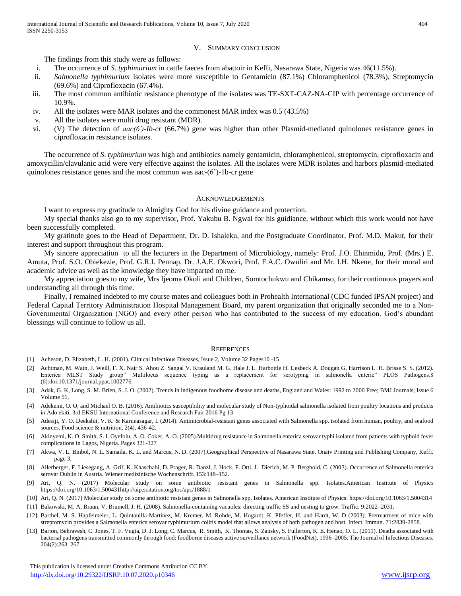## V. SUMMARY CONCLUSION

The findings from this study were as follows:

- i. The occurrence of *S. typhimurium* in cattle faeces from abattoir in Keffi, Nasarawa State, Nigeria was 46(11.5%).
- ii. *Salmonella typhimurium* isolates were more susceptible to Gentamicin (87.1%) Chloramphenicol (78.3%), Streptomycin (69.6%) and Ciprofloxacin (67.4%).
- iii. The most common antibiotic resistance phenotype of the isolates was TE-SXT-CAZ-NA-CIP with percentage occurrence of 10.9%.
- iv. All the isolates were MAR isolates and the commonest MAR index was 0.5 (43.5%)
- v. All the isolates were multi drug resistant (MDR).
- vi. (V) The detection of *aac(6′)-Ib-cr* (66.7%) gene was higher than other Plasmid-mediated quinolones resistance genes in ciprofloxacin resistance isolates.

 The occurrence of *S*. *typhimurium* was high and antibiotics namely gentamicin, chloramphenicol, streptomycin, ciprofloxacin and amoxycillin/clavulanic acid were very effective against the isolates. All the isolates were MDR isolates and harbors plasmid-mediated quinolones resistance genes and the most common was aac-(6')-1b-cr gene

#### ACKNOWLEDGEMENTS

I want to express my gratitude to Almighty God for his divine guidance and protection.

 My special thanks also go to my supervisor, Prof. Yakubu B. Ngwai for his guidiance, without which this work would not have been successfully completed.

 My gratitude goes to the Head of Department, Dr. D. Ishaleku, and the Postgraduate Coordinator, Prof. M.D. Makut, for their interest and support throughout this program.

 My sincere appreciation to all the lecturers in the Department of Microbiology, namely: Prof. J.O. Ehinmidu, Prof. (Mrs.) E. Amuta, Prof. S.O. Obiekezie, Prof. G.R.I. Pennap, Dr. J.A.E. Okwori, Prof. F.A.C. Owuliri and Mr. I.H. Nkene, for their moral and academic advice as well as the knowledge they have imparted on me.

 My appreciation goes to my wife, Mrs Ijeoma Okoli and Children, Somtochukwu and Chikamso, for their continuous prayers and understanding all through this time.

 Finally, I remained indebted to my course mates and colleagues both in Prohealth International (CDC funded IPSAN project) and Federal Capital Territory Administration Hospital Management Board, my parent organization that originally seconded me to a Non-Governmental Organization (NGO) and every other person who has contributed to the success of my education. God's abundant blessings will continue to follow us all.

#### **REFERENCES**

- [1] Acheson, D. Elizabeth, L. H. (2001). Clinical Infectious Diseases, Issue 2, Volume 32 Pages10 -15
- [2] Achtman, M. Wain, J. Weill, F. X. Nair S. Ahou Z. Sangal V. Krauland M. G. Hale J. L. Harbottle H. Uesbeck A. Dougan G, Harrison L. H. Brisse S. S. (2012). Enterica MLST Study group" Multilocus sequence typing as a replacement for serotyping in salmonella enteric" PLOS Pathogens.8 (6):doi:10.1371/journal.ppat.1002776.
- [3] Adak, G. K, Long, S. M. Brien, S. J. O. (2002). Trends in indigenous foodborne disease and deaths, England and Wales: 1992 to 2000 Free; BMJ Journals; Issue 6 Volume 51,
- [4] Adekemi, O. O, and Michael O. B. (2016). Antibiotics susceptibility and molecular study of Non-typhoidal salmonella isolated from poultry locations and products in Ado ekiti. 3rd EKSU International Conference and Research Fair 2016 Pg 13
- [5] Adesiji, Y. O. Deekshit, V. K. & Karunasagar, I. (2014). Antimicrobial-resistant genes associated with Salmonella spp. isolated from human, poultry, and seafood sources. Food science & nutrition, 2(4), 436-42.
- [6] Akinyemi, K. O. Smith, S. I. Oyefolu, A. O. Coker, A. O. (2005).Multidrug resistance in Salmonella enterica serovar typhi isolated from patients with typhoid fever complications in Lagos, Nigeria. Pages 321-327
- [7] Akwa, V. L. Binbol, N. L. Samaila, K. L. and Marcus, N. D. (2007).Geographical Perspective of Nasarawa State. Onaiv Printing and Publishing Company, Keffi. page 3.
- [8] Allerberger, F. Liesegang, A. Grif, K. Khaschabi, D. Prager, R. Danzl, J. Hock, F. Ottl, J. Dierich, M. P. Berghold, C. (2003). Occurrence of Salmonella enterica serovar Dublin in Austria. Wiener medizinische Wochenschrift. 153:148–152.
- [9] Ari, Q. N. (2017) Molecular study on some antibiotic resistant genes in Salmonella spp. Isolates.American Institute of Physics https://doi.org/10.1063/1.500431http://aip.scitation.org/toc/apc/1888/1
- [10] Ari, Q. N. (2017) Molecular study on some antibiotic resistant genes in Salmonella spp. Isolates. American Institute of Physics: https://doi.org/10.1063/1.5004314
- [11] Bakowski, M. A, Braun, V. Brumell, J. H. (2008). Salmonella-containing vacuoles: directing traffic SS and nesting to grow. Traffic. 9:2022–2031.
- [12] Barthel, M. S. Hapfelmeier, L. Quintanilla-Martinez, M. Kremer, M. Rohde, M. Hogardt, K. Pfeffer, H. and Hardt, W. D (2003). Pretreatment of mice with streptomycin provides a Salmonella enterica serovar typhimurium colitis model that allows analysis of both pathogen and host. Infect. Immun. 71:2839-2858.
- [13] Barton, Behravesh, C. Jones, T. F. Vugia, D. J. Long, C. Marcus, R. Smith, K. Thomas, S. Zansky, S. Fullerton, K. E. Henao, O. L. (2011). Deaths associated with bacterial pathogens transmitted commonly through food: foodborne diseases active surveillance network (FoodNet), 1996–2005. The Journal of Infectious Diseases. 204(2):263–267.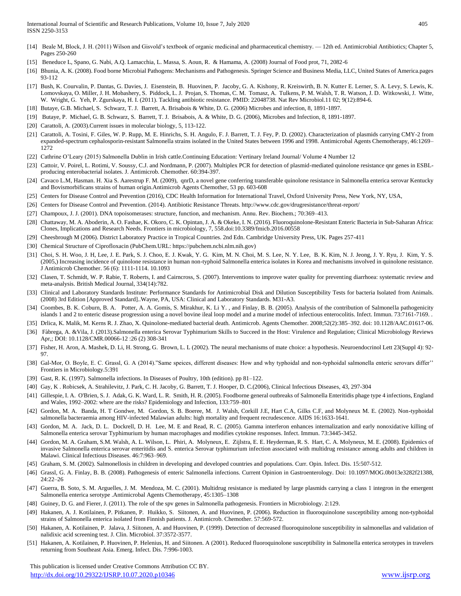- [14] Beale M, Block, J. H. (2011) Wilson and Gisvold's textbook of organic medicinal and pharmaceutical chemistry. 12th ed. Antimicrobial Antibiotics; Chapter 5, Pages 250-260
- [15] Beneduce L, Spano, G. Nabi, A.Q. Lamacchia, L. Massa, S. Aoun, R. & Hamama, A. (2008) Journal of Food prot, 71, 2082-6
- [16] Bhunia, A. K. (2008). Food borne Microbial Pathogens: Mechanisms and Pathogenesis. Springer Science and Business Media, LLC, United States of America.pages 93-112
- [17] Bush, K. Courvalin, P. Dantas, G. Davies, J. Eisenstein, B. Huovinen, P. Jacoby, G. A. Kishony, R. Kreiswirth, B. N. Kutter E. Lerner, S. A. Levy, S. Lewis, K. Lomovskaya, O. Miller, J. H. Mobashery, S. Piddock, L. J. Projan, S. Thomas, C. M. Tomasz, A. Tulkens, P. M. Walsh, T. R. Watson, J. D. Witkowski, J. Witte, W. Wright, G. Yeh, P. Zgurskaya, H. I. (2011). Tackling antibiotic resistance. PMID: 22048738. Nat Rev Microbiol.11 02; 9(12):894-6.
- [18] Butaye, G.B. Michael, S. Schwarz, T. J. Barrett, A. Brisabois & White, D. G. (2006) Microbes and infection, 8, 1891-1897.
- [19] Butaye, P. Michael, G. B. Schwarz, S. Barrett, T. J. Brisabois, A. & White, D. G. (2006), Microbes and Infection, 8, 1891-1897.
- [20] Carattoli, A. (2003). Current issues in molecular biology, 5, 113-122.
- [21] Carattoli, A. Tosini, F. Giles, W. P. Rupp, M. E. Hinrichs, S. H. Angulo, F. J. Barrett, T. J. Fey, P. D. (2002). Characterization of plasmids carrying CMY-2 from expanded-spectrum cephalosporin-resistant Salmonella strains isolated in the United States between 1996 and 1998. Antimicrobal Agents Chemotherapy, 46:1269– 1272
- [22] Cathrine O'Leary (2015) Salmonella Dublin in Irish cattle.Continuing Education: Vertinary Ireland Journal/ Volume 4 Number 12
- [23] Cattoir, V. Poirel, L. Rotimi, V. Soussy, C.J. and Nordmann, P. (2007). Multiplex PCR for detection of plasmid-mediated quinolone resistance qnr genes in ESBLproducing enterobacterial isolates. J. Antimicrob. Chemother. 60:394-397.
- [24] Cavaco L.M, Hasman. H. Xia S. Aarestrup F. M. (2009), qnrD, a novel gene conferring transferable quinolone resistance in Salmonella enterica serovar Kentucky and Bovismorbificans strains of human origin.Antimicrob Agents Chemother, 53 pp. 603-608
- [25] Centers for Disease Control and Prevention (2016), CDC Health Information for International Travel, Oxford University Press, New York, NY, USA,
- [26] Centers for Disease Control and Prevention. (2014). Antibiotic Resistance Threats. http://www.cdc.gov/drugresistance/threat-report/
- [27] Champoux, J. J. (2001). DNA topoisomerases: structure, function, and mechanism. Annu. Rev. Biochem.; 70:369–413.
- [28] Chattaway, M. A. Aboderin, A. O. Fashae, K. Okoro, C. K. Opintan, J. A. & Okeke, I. N. (2016). Fluoroquinolone-Resistant Enteric Bacteria in Sub-Saharan Africa: Clones, Implications and Research Needs. Frontiers in microbiology, 7, 558.doi:10.3389/fmicb.2016.00558
- [29] Cheesbrough M (2006). District Laboratory Practice in Tropical Countries. 2nd Edn. Cambridge University Press, UK. Pages 257-411
- [30] Chemical Structure of Ciprofloxacin (PubChem.URL: https://pubchem.ncbi.nlm.nih.gov)
- [31] Choi, S. H. Woo, J. H, Lee, J. E. Park, S. J. Choo, E. J. Kwak, Y. G. Kim, M. N. Choi, M. S. Lee, N. Y. Lee, B. K. Kim, N. J. Jeong, J. Y. Ryu, J. Kim, Y. S. (2005,) Increasing incidence of quinolone resistance in human non-typhoid Salmonella enterica isolates in Korea and mechanisms involved in quinolone resistance. J Antimicrob Chemother. 56 (6): 1111-1114. 10.1093
- [32] Clasen, T. Schmidt, W. P. Rabie, T. Roberts, I. and Cairncross, S. (2007). Interventions to improve water quality for preventing diarrhoea: systematic review and meta-analysis. British Medical Journal, 334(14):782.
- [33] Clinical and Laboratory Standards Institute: Performance Standards for Antimicrobial Disk and Dilution Susceptibility Tests for bacteria Isolated from Animals. (2008) 3rd Edition [Approved Standard]..Wayne, PA, USA: Clinical and Laboratory Standards. M31-A3.
- [34] Coombes, B. K. Coburn, B. A. Potter, A. A. Gomis, S. Mirakhur, K. Li Y., and Finlay, B. B. (2005). Analysis of the contribution of Salmonella pathogenicity islands 1 and 2 to enteric disease progression using a novel bovine ileal loop model and a murine model of infectious enterocolitis. Infect. Immun. 73:7161-7169. .
- [35] Drlica, K. Malik, M. Kerns R. J. Zhao, X. Quinolone-mediated bacterial death. Antimicrob. Agents Chemother. 2008;52(2):385–392. doi: 10.1128/AAC.01617-06.
- [36] Fàbrega, A. &Vila, J. (2013).Salmonella enterica Serovar Typhimurium Skills to Succeed in the Host: Virulence and Regulation; Clinical Microbiology Reviews Apr,; DOI: 10.1128/CMR.00066-12 :26 (2) 308-341
- [37] Fisher, H. Aron, A. Mashek, D. Li, H. Strong, G. Brown, L. L (2002). The neural mechanisms of mate choice: a hypothesis. Neuroendocrinol Lett 23(Suppl 4): 92- 97.
- [38] Gal-Mor, O. Boyle, E. C. Grassl, G. A (2014)."Same speices, different diseases: How and why typhoidal and non-typhoidal salmonella enteric serovars differ'' Frontiers in Microbiology.5:391
- [39] Gast, R. K. (1997). Salmonella infections. In Diseases of Poultry, 10th (edition). pp 81–122.
- [40] Gay, K . Robicsek, A. Strahilevitz, J. Park, C. H. Jacoby, G. Barrett, T. J. Hooper, D. C.(2006), Clinical Infectious Diseases, 43, 297-304
- [41] Gillespie, I. A. O'Brien, S. J. Adak, G. K. Ward, L. R. Smith, H. R. (2005). Foodborne general outbreaks of Salmonella Enteritidis phage type 4 infections, England and Wales, 1992–2002: where are the risks? Epidemiology and Infection, 133:759–801
- [42] Gordon, M. A. Banda, H. T Gondwe, M. Gordon, S. B. Boeree, M. J. Walsh, Corkill J.E, Hart C.A, Gilks C.F, and Molyneux M. E. (2002). Non-typhoidal salmonella bacteraemia among HIV-infected Malawian adults: high mortality and frequent recrudescence. AIDS 16:1633-1641.
- [43] Gordon, M. A. Jack, D. L. Dockrell, D. H. Lee, M. E and Read, R. C. (2005). Gamma interferon enhances internalization and early nonoxidative killing of Salmonella enterica serovar Typhimurium by human macrophages and modifies cytokine responses. Infect. Immun. 73:3445-3452.
- [44] Gordon, M. A. Graham, S.M. Walsh, A. L. Wilson, L. Phiri, A. Molyneux, E. Zijlstra, E. E. Heyderman, R. S. Hart, C. A. Molyneux, M. E. (2008). Epidemics of invasive Salmonella enterica serovar enteritidis and S. enterica Serovar typhimurium infection associated with multidrug resistance among adults and children in Malawi. Clinical Infectious Diseases. 46:7:963–969.
- [45] Graham, S. M. (2002). Salmonellosis in children in developing and developed countries and populations. Curr. Opin. Infect. Dis. 15:507-512.
- [46] Grassl, G. A. Finlay, B. B. (2008). Pathogenesis of enteric Salmonella infections. Current Opinion in Gastroenterology. Doi: 10.1097/MOG.0b013e3282f21388, 24:22–26
- [47] Guerra, B. Soto, S. M. Arguelles, J. M. Mendoza, M. C. (2001). Multidrug resistance is mediated by large plasmids carrying a class 1 integron in the emergent Salmonella enterica serotype .Antimicrobal Agents Chemotherapy, 45:1305–1308
- [48] Guiney, D. G. and Fierer, J. (2011). The role of the spv genes in Salmonella pathogenesis. Frontiers in Microbiology. 2:129.
- [49] Hakanen, A. J. Kotilainen, P. Pitkanen, P. Huikko, S. Siitonen, A. and Huovinen, P. (2006). Reduction in fluoroquinolone susceptibility among non-typhoidal strains of Salmonella enterica isolated from Finnish patients. J. Antimicrob. Chemother. 57:569-572.
- [50] Hakanen, A. Kotilainen, P. Jalava, J. Siitonen, A. and Huovinen, P. (1999). Detection of decreased fluoroquinolone susceptibility in salmonellas and validation of nalidixic acid screening test. J. Clin. Microbiol. 37:3572-3577.
- [51] Hakanen, A. Kotilainen, P. Huovinen, P. Helenius, H. and Siitonen. A (2001). Reduced fluoroquinolone susceptibility in Salmonella enterica serotypes in travelers returning from Southeast Asia. Emerg. Infect. Dis. 7:996-1003.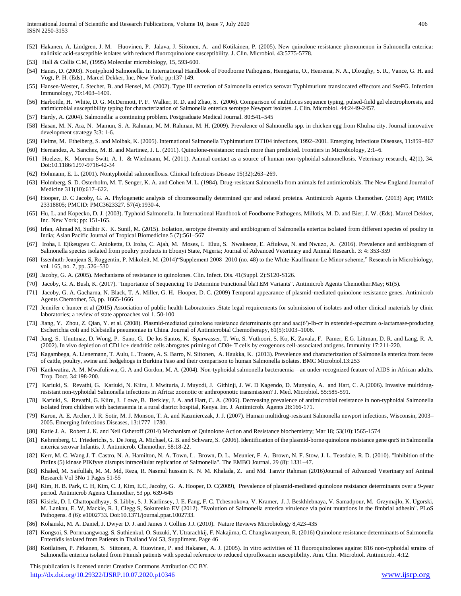- [52] Hakanen, A. Lindgren, J. M. Huovinen, P. Jalava, J. Siitonen, A. and Kotilainen, P. (2005). New quinolone resistance phenomenon in Salmonella enterica: nalidixic acid-susceptible isolates with reduced fluoroquinolone susceptibility. J. Clin. Microbiol. 43:5775-5778.
- [53] Hall & Collis C.M, (1995) Molecular microbiology, 15, 593-600.
- [54] Hanes, D. (2003). Nontyphoid Salmonella. In International Handbook of Foodborne Pathogens, Henegariu, O., Heerema, N. A., Dloughy, S. R., Vance, G. H. and Vogt, P. H. (Eds)., Marcel Dekker, Inc, New York; pp:137-149.
- [55] Hansen-Wester, I. Stecher, B. and Hensel, M. (2002). Type III secretion of Salmonella enterica serovar Typhimurium translocated effectors and SseFG. Infection Immunology, 70:1403–1409.
- [56] Harbottle, H. White, D. G. McDermott, P. F. Walker, R. D. and Zhao, S. (2006). Comparison of multilocus sequence typing, pulsed-field gel electrophoresis, and antimicrobial susceptibility typing for characterization of Salmonella enterica serotype Newport isolates. J. Clin. Microbiol. 44:2449-2457.
- [57] Hardy, A. (2004). Salmonella: a continuing problem. Postgraduate Medical Journal. 80:541–545
- [58] Hasan, M. N. Ara, N. Mamun, S. A. Rahman, M. M. Rahman, M. H. (2009). Prevalence of Salmonella spp. in chicken egg from Khulna city. Journal innovative development strategy 3:3: 1-6.
- [59] Helms, M. Ethelberg, S. and Molbak, K. (2005). International Salmonella Typhimurium DT104 infections, 1992–2001. Emerging Infectious Diseases, 11:859–867
- [60] Hernandez, A. Sanchez, M. B. and Martinez, J. L. (2011). Quinolone-resistance: much more than predicted. Frontiers in Microbiology, 2:1–6.
- [61] Hoelzer, K. Moreno Switt, A. I. & Wiedmann, M. (2011). Animal contact as a source of human non-typhoidal salmonellosis. Veterinary research, 42(1), 34. Doi:10.1186/1297-9716-42-34
- [62] Hohmann, E. L. (2001). Nontyphoidal salmonellosis. Clinical Infectious Disease 15(32):263–269.
- [63] Holmberg, S. D. Osterholm, M. T. Senger, K. A. and Cohen M. L. (1984). Drug-resistant Salmonella from animals fed antimicrobials. The New England Journal of Medicine 311(10):617–622.
- [64] Hooper, D. C Jacoby, G. A. Phylogenetic analysis of chromosomally determined qnr and related proteins. Antimicrob Agents Chemother. (2013) Apr; PMID: 23318805; PMCID: PMC3623327. 57(4):1930-4.
- [65] Hu, L. and Kopecko, D. J. (2003). Typhoid Salmonella. In International Handbook of Foodborne Pathogens, Millotis, M. D. and Bier, J. W. (Eds). Marcel Dekker, Inc. New York; pp: 151-165.
- [66] Irfan, Ahmad M, Sudhir K. K. Sunil, M. (2015). Isolation, serotype diversity and antibiogram of Salmonella enterica isolated from different species of poultry in India; Asian Pacific Journal of Tropical Biomedicine.5 (7):561–567
- [67] Iroha, I. Ejikeugwu C. Anioketta, O. Iroha, C. Ajah, M. Moses, I. Eluu, S. Nwakaeze, E. Afiukwa, N. and Nwuzo, A. (2016). Prevalence and antibiogram of Salmonella species isolated from poultry products in Ebonyi State, Nigeria; Journal of Advanced Veterinary and Animal Research. 3: 4: 353-359
- [68] Issenhuth-Jeanjean S, Roggentin, P. Mikoleit, M. (2014)"Supplement 2008–2010 (no. 48) to the White-Kauffmann-Le Minor scheme," Research in Microbiology, vol. 165, no. 7, pp. 526–530
- [69] Jacoby, G. A. (2005). Mechanisms of resistance to quinolones. Clin. Infect. Dis. 41(Suppl. 2):S120-S126.
- [70] Jacoby, G. A. Bush, K. (2017). "Importance of Sequencing To Determine Functional blaTEM Variants". Antimicrob Agents Chemother.May; 61(5).
- [71] Jacoby, G. A. Gacharna, N. Black, T. A. Miller, G. H. Hooper, D. C. (2009) Temporal appearance of plasmid-mediated quinolone resistance genes. Antimicrob Agents Chemother, 53, pp. 1665-1666
- [72] Jennifer c hunter et al (2015) Association of public health Laboratories .State legal requirements for submission of isolates and other clinical materials by clinic laboratories; a review of state approaches vol 1. 50-100
- [73] Jiang, Y. Zhou, Z. Qian, Y. et al. (2008). Plasmid-mediated quinolone resistance determinants qnr and aac(6′)-Ib-cr in extended-spectrum α-lactamase-producing Escherichia coli and Klebsiella pneumoniae in China. Journal of Antimicrobial Chemotherapy, 61(5):1003–1006.
- [74] Jung, S. Unutmaz, D. Wong, P. Sano, G. De los Santos, K. Sparwasser, T. Wu, S. Vuthoori, S. Ko, K. Zavala, F. Pamer, E.G. Littman, D. R. and Lang, R. A. (2002). In vivo depletion of CD11c+ dendritic cells abrogates priming of CD8+ T cells by exogenous cell-associated antigens. Immunity 17:211-220.
- [75] Kagambega, A. Lienemann, T. Aulu, L. Traore, A. S. Barro, N. Siitonen, A. Haukka, K. (2013). Prevelence and characterization of Salmonella enterica from feces of cattle, poultry, swine and hedgehogs in Burkina Faso and their comparison to human Salmonella isolates. BMC Microbiol.13:253
- [76] Kankwatira, A. M. Mwafulirwa, G. A and Gordon, M. A. (2004). Non-typhoidal salmonella bacteraemia—an under-recognized feature of AIDS in African adults. Trop. Doct. 34:198-200.
- [77] Kariuki, S. Revathi, G. Kariuki, N. Kiiru, J. Mwituria, J. Muyodi, J. Githinji, J. W. D Kagendo, D. Munyalo, A. and Hart, C. A.(2006). Invasive multidrugresistant non-typhoidal Salmonella infections in Africa: zoonotic or anthroponotic transmission? J. Med. Microbiol. 55:585-591.
- [78] Kariuki, S. Revathi, G. Kiiru, J. Lowe, B. Berkley, J. A. and Hart, C. A. (2006). Decreasing prevalence of antimicrobial resistance in non-typhoidal Salmonella isolated from children with bacteraemia in a rural district hospital, Kenya. Int. J. Antimicrob. Agents 28:166-171.
- [79] Karon, A. E. Archer, J. R. Sotir, M. J. Monson, T. A. and Kazmierczak, J. J. (2007). Human multidrug-resistant Salmonella newport infections, Wisconsin, 2003– 2005. Emerging Infectious Diseases, 13:1777–1780.
- [80] Katie J. A. Robert J. K. and Neil Osheroff (2014) Mechanism of Quinolone Action and Resistance biochemistry; Mar 18; 53(10):1565-1574
- [81] Kehrenberg, C. Friederichs, S. De Jong, A. Michael, G. B. and Schwarz, S. (2006). Identification of the plasmid-borne quinolone resistance gene qnrS in Salmonella enterica serovar Infantis. J. Antimicrob. Chemother. 58:18-22.
- [82] Kerr, M. C. Wang J. T. Castro, N. A. Hamilton, N. A. Town, L. Brown, D. L. Meunier, F. A. Brown, N. F. Stow, J. L. Teasdale, R. D. (2010). "Inhibition of the PtdIns (5) kinase PIKfyve disrupts intracellular replication of Salmonella". The EMBO Journal. 29 (8): 1331–47.
- [83] Khaled, M. Saifullah, M. M. Md, Reza, R. Nasmul hussain K. N. M. Khalada, Z. and Md. Tanvir Rahman (2016)Journal of Advanced Veterinary snf Animal Research Vol 3No 1 Pages 51-55
- [84] Kim, H. B. Park, C. H, Kim, C. J, Kim, E.C, Jacoby, G. A. Hooper, D. C(2009), Prevalence of plasmid-mediated quinolone resistance determinants over a 9-year period. Antimicrob Agents Chemother, 53 pp. 639-645
- [85] Kisiela, D. I. Chattopadhyay, S. Libby, S. J. Karlinsey, J. E. Fang, F. C. Tchesnokova, V. Kramer, J. J. Beskhlebnaya, V. Samadpour, M. Grzymajlo, K. Ugorski, M. Lankau, E. W, Mackie, R. I, Clegg S, Sokurenko EV (2012). "Evolution of Salmonella enterica virulence via point mutations in the fimbrial adhesin". PLoS Pathogens. 8 (6): e1002733. Doi:10.1371/journal.ppat.1002733.
- [86] Kohanski, M. A. Daniel, J. Dwyer D. J. and James J. Collins J.J. (2010). Nature Reviews Microbiology 8,423-435
- [87] Kongsoi, S. Pornruangwoag. S, Suthienkul, O. Suzuki, Y. Utrarachkij, F. Nakajima, C. Changkwanyeun, R. (2016) Quinolone resistance determinants of Salmonella Entertidis isolated from Patients in Thailand Vol 53, Suppliment. Page 46
- [88] Kotilainen, P. Pitkanen, S. Siitonen, A. Huovinen, P. and Hakanen, A. J. (2005). In vitro activities of 11 fluoroquinolones against 816 non-typhoidal strains of Salmonella enterica isolated from Finnish patients with special reference to reduced ciprofloxacin susceptibility. Ann. Clin. Microbiol. Antimicrob. 4:12.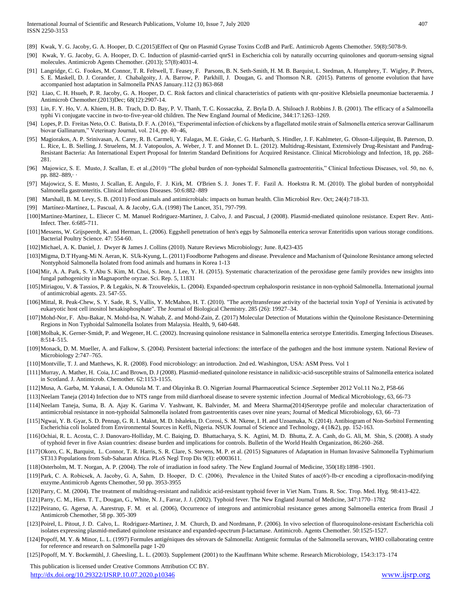- [89] Kwak, Y. G. Jacoby, G. A. Hooper, D. C.(2015)Effect of Qnr on Plasmid Gyrase Toxins CcdB and ParE. Antimicrob Agents Chemother. 59(8):5078-9.
- [90] Kwak, Y. G. Jacoby, G. A. Hooper, D. C. Induction of plasmid-carried qnrS1 in Escherichia coli by naturally occurring quinolones and quorum-sensing signal molecules. Antimicrob Agents Chemother. (2013); 57(8):4031-4.
- [91] Langridge, C. G. Fookes, M. Connor, T. R. Feltwell, T. Feasey, F. Parsons, B. N. Seth-Smith, H. M. B. Barquist, L. Stedman, A. Humphrey, T. Wigley, P. Peters, S. E. Maskell, D. J. Corander, J. Chabalgoity, J. A. Barrow, P. Parkhill, J. Dougan, G. and Thomson N.R. (2015). Patterns of genome evolution that have accompanied host adaptation in Salmonella PNAS January.112 (3) 863-868
- [92] Liao, C. H. Hsueh, P. R. Jacoby, G. A. Hooper, D. C. Risk factors and clinical characteristics of patients with qnr-positive Klebsiella pneumoniae bacteraemia. J Antimicrob Chemother.(2013)Dec; 68(12):2907-14.
- [93] Lin, F. Y. Ho, V. A. Khiem, H. B. Trach, D. D. Bay, P. V. Thanh, T. C. Kossaczka, Z. Bryla D. A. Shiloach J. Robbins J. B. (2001). The efficacy of a Salmonella typhi Vi conjugate vaccine in two-to-five-year-old children. The New England Journal of Medicine, 344:17:1263–1269.
- [94] Lopes, P. D. Freitas Neto, O. C. Batista, D. F. A. (2016), "Experimental infection of chickens by a flagellated motile strain of Salmonella enterica serovar Gallinarum biovar Gallinarum," Veterinary Journal, vol. 214, pp. 40–46,
- [95] Magiorakos, A. P. Srinivasan, A. Carey, R. B. Carmeli, Y. Falagas, M. E. Giske, C. G. Harbarth, S. Hindler, J. F. Kahlmeter, G. Olsson-Liljequist, B. Paterson, D. L. Rice, L. B. Stelling, J. Struelens, M. J. Vatopoulos, A. Weber, J. T. and Monnet D. L. (2012). Multidrug-Resistant, Extensively Drug-Resistant and Pandrug-Resistant Bacteria: An International Expert Proposal for Interim Standard Definitions for Acquired Resistance. Clinical Microbiology and Infection, 18, pp. 268- 281.
- [96] Majowicz, S. E. Musto, J. Scallan, E. et al.,(2010) "The global burden of non-typhoidal Salmonella gastroenteritis," Clinical Infectious Diseases, vol. 50, no. 6, pp. 882–889,· ·
- [97] Majowicz, S. E. Musto, J. Scallan, E. Angulo, F. J. Kirk, M. O'Brien S. J. Jones T. F. Fazil A. Hoekstra R. M. (2010). The global burden of nontyphoidal Salmonella gastronteritis. Clinical Infectious Diseases. 50:6:882–889
- [98] Marshall, B. M. Levy, S. B. (2011) Food animals and antimicrobials: impacts on human health. Clin Microbiol Rev. Oct; 24(4):718-33.
- [99] Martínez-Martínez, L. Pascual, A. & Jacoby, G.A. (1998) The Lancet, 351, 797-799.
- [100]Martinez-Martinez, L. Eliecer C. M. Manuel Rodriguez-Martinez, J. Calvo, J. and Pascual, J (2008). Plasmid-mediated quinolone resistance. Expert Rev. Anti-Infect. Ther. 6:685-711.
- [101]Messens, W. Grijspeerdt, K. and Herman, L. (2006). Eggshell penetration of hen's eggs by Salmonella enterica serovar Enteritidis upon various storage conditions. Bacterial Poultry Science. 47: 554-60.
- [102]Michael, A. K. Daniel, J. Dwyer & James J. Collins (2010). Nature Reviews Microbiology; June. 8,423-435
- [103]Migma, D.T Hyang-Mi N. Aeran, K. SUk-Kyung, L. (2011) Foodborne Pathogens and disease. Prevalence and Machanism of Quinolone Resistance among selected Nontyphoid Salmonella Isolated from food animals and humans in Korea 1-13
- [104]Mir, A. A. Park, S. Y.Abu S. Kim, M. Choi, S. Jeon, J. Lee, Y. H. (2015). Systematic characterization of the peroxidase gene family provides new insights into fungal pathogenicity in Magnaporthe oryzae. Sci. Rep. 5, 11831
- [105]Miriagou, V. & Tassios, P. & Legakis, N. & Tzouvelekis, L. (2004). Expanded-spectrum cephalosporin resistance in non-typhoid Salmonella. International journal of antimicrobial agents. 23. 547-55.
- [106]Mittal, R. Peak-Chew, S. Y. Sade, R. S, Vallis, Y. McMahon, H. T. (2010). "The acetyltransferase activity of the bacterial toxin YopJ of Yersinia is activated by eukaryotic host cell inositol hexakisphosphate". The Journal of Biological Chemistry. 285 (26): 19927–34.
- [107]Mohd-Nor, F. Abu-Bakar, N. Mohd-Isa, N. Wahab, Z. and Mohd-Zain, Z. (2017) Molecular Detection of Mutations within the Quinolone Resistance-Determining Regions in Non Typhoidal Salmonella Isolates from Malaysia. Health, 9, 640-648.
- [108]Molbak, K. Gerner-Smidt, P. and Wegener, H. C. (2002). Increasing quinolone resistance in Salmonella enterica serotype Enteritidis. Emerging Infectious Diseases. 8:514–515.
- [109]Monack, D. M. Mueller, A. and Falkow, S. (2004). Persistent bacterial infections: the interface of the pathogen and the host immune system. National Review of Microbiology 2:747–765.
- [110]Montville, T. J. and Matthews, K. R. (2008). Food microbiology: an introduction. 2nd ed. Washington, USA: ASM Press. Vol 1
- [111]Murray, A. Mather, H. Coia, J.C and Brown, D. J (2008). Plasmid-mediated quinolone resistance in nalidixic-acid-susceptible strains of Salmonella enterica isolated in Scotland. J. Antimicrob. Chemother. 62:1153-1155.
- [112]Musa, A. Garba, M. Yakasai, I. A. Odunola M. T. and Olayinka B. O. Nigerian Journal Pharmaceutical Science .September 2012 Vol.11 No.2, P58-66
- [113]Neelam Taneja (2014) Infection due to NTS range from mild diarrhoeal disease to severe systemic infection .Journal of Medical Microbiology, 63, 66-73
- [114]Neelam Taneja, Suma, B. A. Ajay K. Garima V. Yashwant, K. Balvinder, M. and Meera Sharma(2014)Serotype profile and molecular characterization of antimicrobial resistance in non-typhoidal Salmonella isolated from gastroenteritis cases over nine years; Journal of Medical Microbiology, 63, 66–73
- [115]Ngwai, Y. B. Gyar, S. D. Pennap, G. R. I. Makut, M. D. Ishaleku, D. Corosi, S. M. Nkene, I. H. and Uzoamaka, N. (2014). Antibiogram of Non-Sorbitol Fermenting Escherichia coli Isolated from Environmental Sources in Keffi, Nigeria. NSUK Journal of Science and Technology, 4 (1&2), pp. 152-163.
- [116]Ochiai, R. L. Acosta, C. J. Danovaro-Holliday, M. C. Baiqing, D. Bhattacharya, S. K. Agtini, M. D. Bhutta, Z. A. Canh, do G. Ali, M. Shin, S. (2008). A study of typhoid fever in five Asian countries: disease burden and implications for controls. Bulletin of the World Health Organization, 86:260–268.
- [117]Okoro, C. K, Barquist, L. Connor, T. R. Harris, S. R. Clare, S. Stevens, M. P. et al. (2015) Signatures of Adaptation in Human Invasive Salmonella Typhimurium ST313 Populations from Sub-Saharan Africa. PLoS Negl Trop Dis 9(3): e0003611.
- [118]Osterholm, M. T. Norgan, A. P. (2004). The role of irradiation in food safety. The New England Journal of Medicine, 350(18):1898–1901.
- [119]Park, C. A. Robicsek, A. Jacoby, G. A, Sahm, D. Hooper, D. C. (2006), Prevalence in the United States of aac(6′)-Ib-cr encoding a ciprofloxacin-modifying enzyme.Antimicrob Agents Chemother, 50 pp. 3953-3955
- [120]Parry, C. M. (2004). The treatment of multidrug-resistant and nalidixic acid-resistant typhoid fever in Viet Nam. Trans. R. Soc. Trop. Med. Hyg. 98:413-422.
- [121]Parry, C. M., Hien. T. T., Dougan, G., White, N. J., Farrar, J. J. (2002). Typhoid fever. The New England Journal of Medicine, 347:1770–1782
- [122]Peirano, G. Agersø, A. Aarestrup, F. M. et al. (2006), Occurrence of integrons and antimicrobial resistance genes among Salmonella enterica from Brasil .J Antimicrob Chemother, 58 pp. 305-309
- [123]Poirel, L. Pitout, J. D. Calvo, L. Rodriguez-Martinez, J. M. Church, D. and Nordmann, P. (2006). In vivo selection of fluoroquinolone-resistant Escherichia coli isolates expressing plasmid-mediated quinolone resistance and expanded-spectrum β-lactamase. Antimicrob. Agents Chemother. 50:1525-1527.
- [124]Popoff, M. Y. & Minor, L. L. (1997) Formules antigéniques des sérovars de Salmonella: Antigenic formulas of the Salmonella serovars, WHO collaborating centre for reference and research on Salmonella page 1-20
- [125]Popoff, M. Y. Bockemühl, J. Gheesling, L. L. (2003). Supplement (2001) to the Kauffmann White scheme. Research Microbiology, 154:3:173–174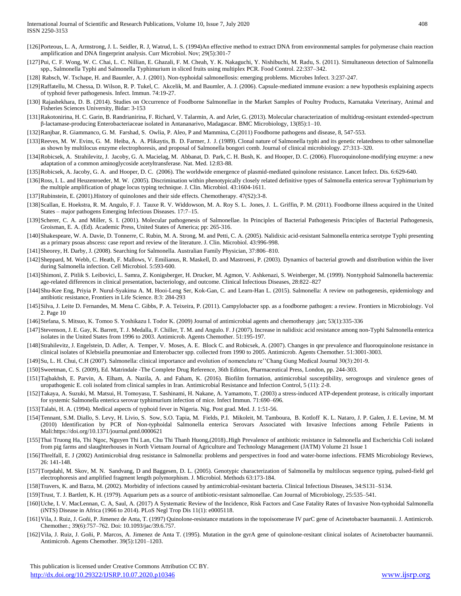- [126]Porteous, L. A, Armstrong, J. L. Seidler, R. J, Watrud, L. S. (1994)An effective method to extract DNA from environmental samples for polymerase chain reaction amplification and DNA fingerprint analysis. Curr Microbiol. Nov; 29(5):301-7
- [127]Pui, C. F. Wong, W. C. Chai, L. C. Nillian, E. Ghazali, F. M. Cheah, Y. K. Nakaguchi, Y. Nishibuchi, M. Radu, S. (2011). Simultaneous detection of Salmonella spp., Salmonella Typhi and Salmonella Typhimurium in sliced fruits using multiplex PCR. Food Control. 22:337–342.
- [128] Rabsch, W. Tschape, H. and Baumler, A. J. (2001). Non-typhoidal salmonellosis: emerging problems. Microbes Infect. 3:237-247.
- [129]Raffatellu, M. Chessa, D. Wilson, R. P. Tukel, C. Akcelik, M. and Baumler, A. J. (2006). Capsule-mediated immune evasion: a new hypothesis explaining aspects of typhoid fever pathogenesis. Infect. Immun. 74:19-27.
- [130] Rajashekhara, D. B. (2014). Studies on Occurrence of Foodborne Salmonellae in the Market Samples of Poultry Products, Karnataka Veterinary, Animal and Fisheries Sciences University, Bidar: 3-153
- [131]Rakotonirina, H. C. Garin, B. Randrianirina, F. Richard, V. Talarmin, A. and Arlet, G. (2013). Molecular characterization of multidrug-resistant extended-spectrum β-lactamase-producing Enterobacteriaceae isolated in Antananarivo, Madagascar. BMC Microbiology, 13(85):1–10.
- [132]Ranjbar, R. Giammanco, G. M. Farshad, S. Owlia, P. Aleo, P and Mammina, C.(2011) Foodborne pathogens and disease, 8, 547-553.
- [133]Reeves, M. W. Evins, G. M. Heiba, A. A. Plikaytis, B. D. Farmer, J. J. (1989). Clonal nature of Salmonella typhi and its genetic relatedness to other salmonellae as shown by multilocus enzyme electrophoresis, and proposal of Salmonella bongori comb. Journal of clinical microbiology. 27:313–320.
- [134]Robicsek, A. Strahilevitz, J. Jacoby, G. A. Macielag, M. Abbanat, D. Park, C. H. Bush, K. and Hooper, D. C. (2006). Fluoroquinolone-modifying enzyme: a new adaptation of a common aminoglycoside acetyltransferase. Nat. Med. 12:83-88.
- [135]Robicsek, A. Jacoby, G. A. and Hooper, D. C. (2006). The worldwide emergence of plasmid-mediated quinolone resistance. Lancet Infect. Dis. 6:629-640.
- [136]Ross, I. L. and Heuzenroeder, M. W. (2005). Discrimination within phenotypically closely related definitive types of Salmonella enterica serovar Typhimurium by the multiple amplification of phage locus typing technique. J. Clin. Microbiol. 43:1604-1611.
- [137]Rubinstein, E. (2001).History of quinolones and their side effects. Chemotherapy. 47(S2):3-8.
- [138]Scallan, E. Hoekstra, R. M. Angulo, F. J. Tauxe R. V. Widdowson, M. A. Roy S. L. Jones, J. L. Griffin, P. M. (2011). Foodborne illness acquired in the United States – major pathogens Emerging Infectious Diseases. 17:7–15.
- [139]Scherer, C. A. and Miller, S. I. (2001). Molecular pathogenesis of Salmonellae. In Principles of Bacterial Pathogenesis Principles of Bacterial Pathogenesis, Groisman, E. A. (Ed). Academic Press, United States of America; pp: 265-316.
- [140]Shakespeare, W. A. Davie, D. Tonnerre, C. Rubin, M. A. Strong, M. and Petti, C. A. (2005). Nalidixic acid-resistant Salmonella enterica serotype Typhi presenting as a primary psoas abscess: case report and review of the literature. J. Clin. Microbiol. 43:996-998.
- [141]Sheorey, H. Darby, J. (2008). Searching for Salmonella. Australian Family Physician, 37:806–810.
- [142]Sheppard, M. Webb, C. Heath, F. Mallows, V. Emilianus, R. Maskell, D. and Mastroeni, P. (2003). Dynamics of bacterial growth and distribution within the liver during Salmonella infection. Cell Microbiol. 5:593-600.
- [143]Shimoni, Z. Pitlik S. Leibovici, L. Samra, Z. Konigsberger, H. Drucker, M. Agmon, V. Ashkenazi, S. Weinberger, M. (1999). Nontyphoid Salmonella bacteremia: age-related differences in clinical presentation, bacteriology, and outcome. Clinical Infectious Diseases, 28:822–827
- [144]Shu-Kee Eng, Priyia P. Nurul-Syakima A. M. Hooi-Leng Ser, Kok-Gan, C. and Learn-Han L. (2015). Salmonella: A review on pathogenesis, epidemiology and antibiotic resistance, Frontiers in Life Science. 8:3: 284-293
- [145]Silva, J. Leite D. Fernandes, M. Mena C. Gibbs, P. A. Teixeira, P. (2011). Campylobacter spp. as a foodborne pathogen: a review. Frontiers in Microbiology. Vol 2. Page 10
- [146]Stefana, S. Mitsuo, K. Tomoo S. Yoshikazu I. Todor K. (2009) Journal of antimicrobial agents and chemotherapy .jan; 53(1):335-336
- [147]Stevenson, J. E. Gay, K. Barrett, T. J. Medalla, F. Chiller, T. M. and Angulo. F. J (2007). Increase in nalidixic acid resistance among non-Typhi Salmonella enterica isolates in the United States from 1996 to 2003. Antimicrob. Agents Chemother. 51:195-197.
- [148]Strahilevitz, J. Engelstein, D. Adler, A. Temper, V. Moses, A. E. Block C. and Robicsek, A. (2007). Changes in qnr prevalence and fluoroquinolone resistance in clinical isolates of Klebsiella pneumoniae and Enterobacter spp. collected from 1990 to 2005. Antimicrob. Agents Chemother. 51:3001-3003.
- [149]Su, L. H. Chui, C.H (2007). Salmonella: clinical importance and evolution of nomenclatu re''Chang Gung Medical Journal 30(3):201-9.
- [150]Sweetman, C. S. (2009), Ed. Matrindale -The Complete Drug Reference, 36th Edition, Pharmaceutical Press, London, pp. 244-303.
- [151]Tajbakhsh, E. Parvin, A. Elham, A. Nazila, A. and Faham, K. (2016). Biofilm formation, antimicrobial susceptibility, serogroups and virulence genes of uropathogenic E. coli isolated from clinical samples in Iran. Antimicrobial Resistance and Infection Control, 5 (11): 2-8.
- [152]Takaya, A. Suzuki, M. Matsui, H. Tomoyasu, T. Sashinami, H. Nakane, A. Yamamoto, T. (2003) a stress-induced ATP-dependent protease, is critically important for systemic Salmonella enterica serovar typhimurium infection of mice. Infect Immun. 71:690–696.
- [153]Talabi, H. A. (1994). Medical aspects of typhoid fever in Nigeria. Nig. Post grad. Med. J. 1:51-56.
- [154]Tennant, S.M. Diallo, S. Levy, H. Livio, S. Sow, S.O. Tapia, M. Fields, P.I. Mikoleit, M. Tamboura, B. Kotloff K. L. Nataro, J. P. Galen, J. E. Levine, M. M (2010) Identification by PCR of Non-typhoidal Salmonella enterica Serovars Associated with Invasive Infections among Febrile Patients in Mali:https://doi.org/10.1371/journal.pntd.0000621
- [155]Thai Truong Ha, Thi Ngoc, Nguyen Thi Lan, Chu Thi Thanh Huong,(2018)..High Prevalence of antibiotic resistance in Salmonella and Escherichia Coli isolated from pig farms and slaughterhouses in North Vietnam Journal of Agriculture and Technology Management (JATM) Volume 21 Issue 1
- [156]Threlfall, E. J (2002) Antimicrobial drug resistance in Salmonella: problems and perspectives in food and water-borne infections. FEMS Microbiology Reviews, 26: 141-148.
- [157]Torpdahl, M. Skov, M. N. Sandvang, D and Baggesen, D. L. (2005). Genotypic characterization of Salmonella by multilocus sequence typing, pulsed-field gel electrophoresis and amplified fragment length polymorphism. J. Microbiol. Methods 63:173-184.
- [158]Travers, K. and Barza, M. (2002). Morbidity of infections caused by antimicrobial-resistant bacteria. Clinical Infectious Diseases, 34:S131–S134.
- [159]Trust, T. J. Bartlett, K. H. (1979). Aquarium pets as a source of antibiotic-resistant salmonellae. Can Journal of Microbiology, 25:535–541.
- [160]Uche, I. V. MacLennan, C. A, Saul, A. (2017) A Systematic Review of the Incidence, Risk Factors and Case Fatality Rates of Invasive Non-typhoidal Salmonella (iNTS) Disease in Africa (1966 to 2014). PLoS Negl Trop Dis 11(1): e0005118.
- [161]Vila, J. Ruiz, J. Goñi, P. Jimenez de Anta, T. (1997) Quinolone-resistance mutations in the topoisomerase IV parC gene of Acinetobacter baumannii. J. Antimicrob. Chemother.; 39(6):757–762. Doi: 10.1093/jac/39.6.757.
- [162]Vila, J. Ruiz, J. Goñi, P. Marcos, A. Jimenez de Anta T. (1995). Mutation in the gyrA gene of quinolone-resitant clinical isolates of Acinetobacter baumannii. Antimicrob. Agents Chemother. 39(5):1201–1203.